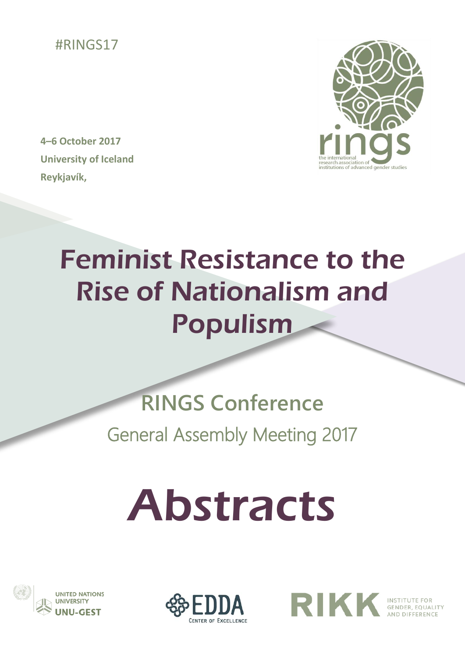

**4–6 October 2017 University of Iceland Reykjavík,** 



## Feminist Resistance to the Rise of Nationalism and Populism

l

## **RINGS Conference** General Assembly Meeting 2017

# Abstracts





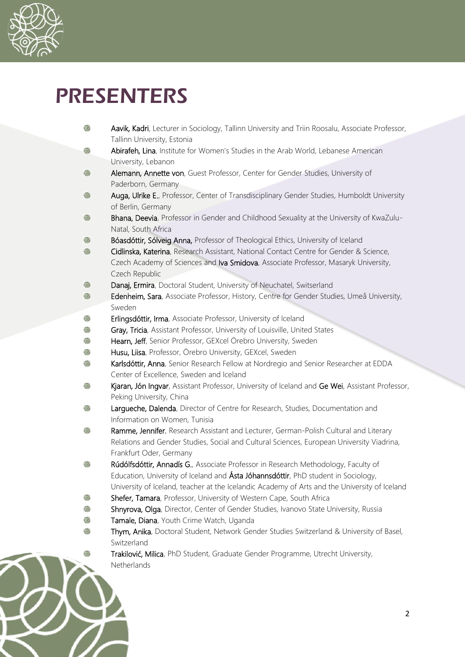

z

### PRESENTERS

| \$ | Aavik, Kadri, Lecturer in Sociology, Tallinn University and Triin Roosalu, Associate Professor,     |
|----|-----------------------------------------------------------------------------------------------------|
|    | Tallinn University, Estonia                                                                         |
| \$ | Abirafeh, Lina, Institute for Women's Studies in the Arab World, Lebanese American                  |
|    | University, Lebanon                                                                                 |
| \$ | Alemann, Annette von, Guest Professor, Center for Gender Studies, University of                     |
|    | Paderborn, Germany                                                                                  |
| ۴  | Auga, Ulrike E., Professor, Center of Transdisciplinary Gender Studies, Humboldt University         |
|    | of Berlin, Germany                                                                                  |
| \$ | Bhana, Deevia, Professor in Gender and Childhood Sexuality at the University of KwaZulu-            |
|    | Natal, South Africa                                                                                 |
| \$ | Bóasdóttir, Sólveig Anna, Professor of Theological Ethics, University of Iceland                    |
| ۲  | Cidlinska, Katerina, Research Assistant, National Contact Centre for Gender & Science,              |
|    | Czech Academy of Sciences and Iva Smidova, Associate Professor, Masaryk University,                 |
|    | Czech Republic                                                                                      |
| \$ | Danaj, Ermira, Doctoral Student, University of Neuchatel, Switserland                               |
| \$ | Edenheim, Sara, Associate Professor, History, Centre for Gender Studies, Umeå University,<br>Sweden |
| \$ | Erlingsdóttir, Irma, Associate Professor, University of Iceland                                     |
| \$ | Gray, Tricia, Assistant Professor, University of Louisville, United States                          |
| \$ | Hearn, Jeff, Senior Professor, GEXcel Örebro University, Sweden                                     |
| \$ | Husu, Liisa, Professor, Örebro University, GEXcel, Sweden                                           |
| ۹  | Karlsdóttir, Anna, Senior Research Fellow at Nordregio and Senior Researcher at EDDA                |
|    | Center of Excellence, Sweden and Iceland                                                            |
| \$ | Kjaran, Jón Ingvar, Assistant Professor, University of Iceland and Ge Wei, Assistant Professor,     |
|    | Peking University, China                                                                            |
| \$ | Largueche, Dalenda, Director of Centre for Research, Studies, Documentation and                     |
|    | Information on Women, Tunisia                                                                       |
| \$ | Ramme, Jennifer, Research Assistant and Lecturer, German-Polish Cultural and Literary               |
|    | Relations and Gender Studies, Social and Cultural Sciences, European University Viadrina,           |
|    | Frankfurt Oder, Germany                                                                             |
| 6  | Rúdólfsdóttir, Annadís G., Associate Professor in Research Methodology, Faculty of                  |
|    | Education, University of Iceland and Asta Jóhannsdóttir, PhD student in Sociology,                  |
|    | University of Iceland, teacher at the Icelandic Academy of Arts and the University of Iceland       |
| G. | Shefer, Tamara, Professor, University of Western Cape, South Africa                                 |
|    | Shnyrova, Olga, Director, Center of Gender Studies, Ivanovo State University, Russia                |
| Œ  | Tamale, Diana, Youth Crime Watch, Uganda                                                            |
|    | Thym, Anika, Doctoral Student, Network Gender Studies Switzerland & University of Basel,            |
|    | Switzerland                                                                                         |
|    | Trakilović, Milica, PhD Student, Graduate Gender Programme, Utrecht University,                     |
|    | Netherlands                                                                                         |
|    |                                                                                                     |
|    |                                                                                                     |
|    |                                                                                                     |
|    | 2                                                                                                   |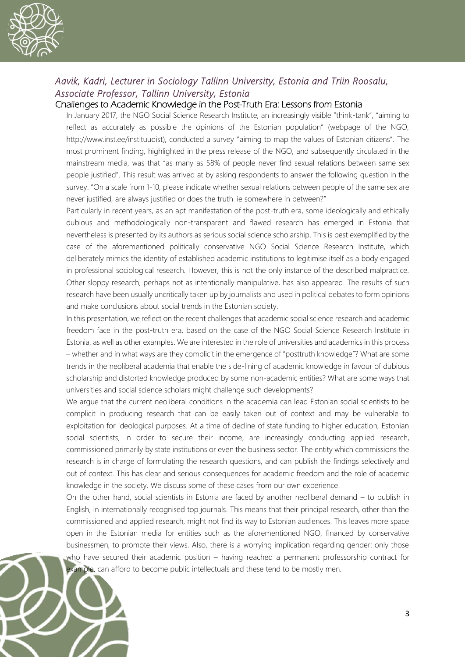

#### *Aavik, Kadri, Lecturer in Sociology Tallinn University, Estonia and Triin Roosalu, Associate Professor, Tallinn University, Estonia*

#### Challenges to Academic Knowledge in the Post-Truth Era: Lessons from Estonia

In January 2017, the NGO Social Science Research Institute, an increasingly visible "think-tank", "aiming to reflect as accurately as possible the opinions of the Estonian population" (webpage of the NGO, http://www.inst.ee/instituudist), conducted a survey "aiming to map the values of Estonian citizens". The most prominent finding, highlighted in the press release of the NGO, and subsequently circulated in the mainstream media, was that "as many as 58% of people never find sexual relations between same sex people justified". This result was arrived at by asking respondents to answer the following question in the survey: "On a scale from 1-10, please indicate whether sexual relations between people of the same sex are never justified, are always justified or does the truth lie somewhere in between?"

Particularly in recent years, as an apt manifestation of the post-truth era, some ideologically and ethically dubious and methodologically non-transparent and flawed research has emerged in Estonia that nevertheless is presented by its authors as serious social science scholarship. This is best exemplified by the case of the aforementioned politically conservative NGO Social Science Research Institute, which deliberately mimics the identity of established academic institutions to legitimise itself as a body engaged in professional sociological research. However, this is not the only instance of the described malpractice. Other sloppy research, perhaps not as intentionally manipulative, has also appeared. The results of such research have been usually uncritically taken up by journalists and used in political debates to form opinions and make conclusions about social trends in the Estonian society.

In this presentation, we reflect on the recent challenges that academic social science research and academic freedom face in the post-truth era, based on the case of the NGO Social Science Research Institute in Estonia, as well as other examples. We are interested in the role of universities and academics in this process – whether and in what ways are they complicit in the emergence of "posttruth knowledge"? What are some trends in the neoliberal academia that enable the side-lining of academic knowledge in favour of dubious scholarship and distorted knowledge produced by some non-academic entities? What are some ways that universities and social science scholars might challenge such developments?

We arque that the current neoliberal conditions in the academia can lead Estonian social scientists to be complicit in producing research that can be easily taken out of context and may be vulnerable to exploitation for ideological purposes. At a time of decline of state funding to higher education, Estonian social scientists, in order to secure their income, are increasingly conducting applied research, commissioned primarily by state institutions or even the business sector. The entity which commissions the research is in charge of formulating the research questions, and can publish the findings selectively and out of context. This has clear and serious consequences for academic freedom and the role of academic knowledge in the society. We discuss some of these cases from our own experience.

On the other hand, social scientists in Estonia are faced by another neoliberal demand – to publish in English, in internationally recognised top journals. This means that their principal research, other than the commissioned and applied research, might not find its way to Estonian audiences. This leaves more space open in the Estonian media for entities such as the aforementioned NGO, financed by conservative businessmen, to promote their views. Also, there is a worrying implication regarding gender: only those who have secured their academic position – having reached a permanent professorship contract for example, can afford to become public intellectuals and these tend to be mostly men.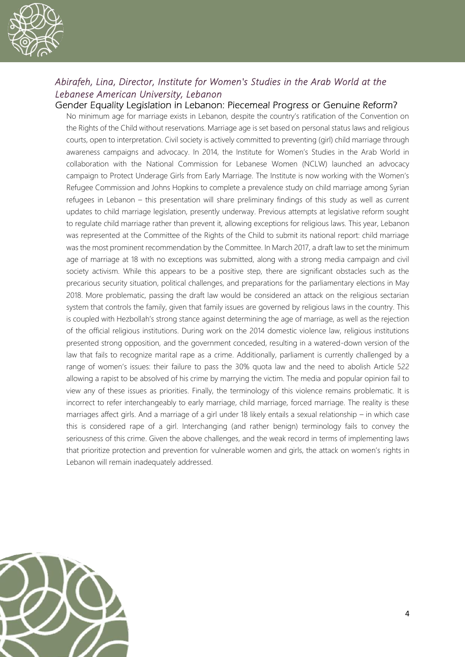

#### *Abirafeh, Lina, Director, Institute for Women's Studies in the Arab World at the Lebanese American University, Lebanon*

Gender Equality Legislation in Lebanon: Piecemeal Progress or Genuine Reform? No minimum age for marriage exists in Lebanon, despite the country's ratification of the Convention on the Rights of the Child without reservations. Marriage age is set based on personal status laws and religious courts, open to interpretation. Civil society is actively committed to preventing (girl) child marriage through awareness campaigns and advocacy. In 2014, the Institute for Women's Studies in the Arab World in collaboration with the National Commission for Lebanese Women (NCLW) launched an advocacy campaign to Protect Underage Girls from Early Marriage. The Institute is now working with the Women's Refugee Commission and Johns Hopkins to complete a prevalence study on child marriage among Syrian refugees in Lebanon – this presentation will share preliminary findings of this study as well as current updates to child marriage legislation, presently underway. Previous attempts at legislative reform sought to regulate child marriage rather than prevent it, allowing exceptions for religious laws. This year, Lebanon was represented at the Committee of the Rights of the Child to submit its national report: child marriage was the most prominent recommendation by the Committee. In March 2017, a draft law to set the minimum age of marriage at 18 with no exceptions was submitted, along with a strong media campaign and civil society activism. While this appears to be a positive step, there are significant obstacles such as the precarious security situation, political challenges, and preparations for the parliamentary elections in May 2018. More problematic, passing the draft law would be considered an attack on the religious sectarian system that controls the family, given that family issues are governed by religious laws in the country. This is coupled with Hezbollah's strong stance against determining the age of marriage, as well as the rejection of the official religious institutions. During work on the 2014 domestic violence law, religious institutions presented strong opposition, and the government conceded, resulting in a watered-down version of the law that fails to recognize marital rape as a crime. Additionally, parliament is currently challenged by a range of women's issues: their failure to pass the 30% quota law and the need to abolish Article 522 allowing a rapist to be absolved of his crime by marrying the victim. The media and popular opinion fail to view any of these issues as priorities. Finally, the terminology of this violence remains problematic. It is incorrect to refer interchangeably to early marriage, child marriage, forced marriage. The reality is these marriages affect girls. And a marriage of a girl under 18 likely entails a sexual relationship – in which case this is considered rape of a girl. Interchanging (and rather benign) terminology fails to convey the seriousness of this crime. Given the above challenges, and the weak record in terms of implementing laws that prioritize protection and prevention for vulnerable women and girls, the attack on women's rights in Lebanon will remain inadequately addressed.

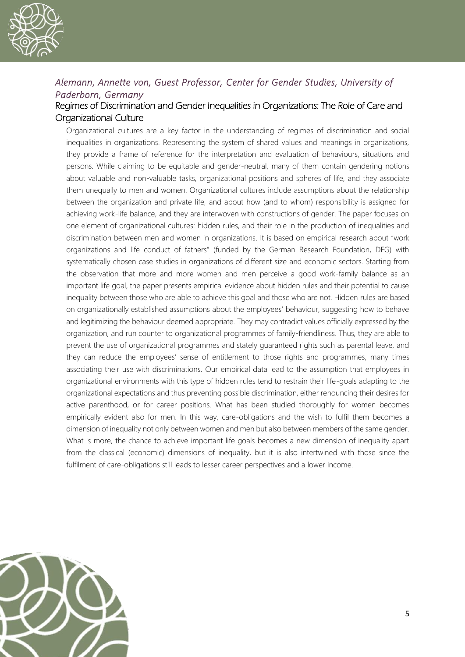

#### *Alemann, Annette von, Guest Professor, Center for Gender Studies, University of Paderborn, Germany*

#### Regimes of Discrimination and Gender Inequalities in Organizations: The Role of Care and Organizational Culture

Organizational cultures are a key factor in the understanding of regimes of discrimination and social inequalities in organizations. Representing the system of shared values and meanings in organizations, they provide a frame of reference for the interpretation and evaluation of behaviours, situations and persons. While claiming to be equitable and gender-neutral, many of them contain gendering notions about valuable and non-valuable tasks, organizational positions and spheres of life, and they associate them unequally to men and women. Organizational cultures include assumptions about the relationship between the organization and private life, and about how (and to whom) responsibility is assigned for achieving work-life balance, and they are interwoven with constructions of gender. The paper focuses on one element of organizational cultures: hidden rules, and their role in the production of inequalities and discrimination between men and women in organizations. It is based on empirical research about "work organizations and life conduct of fathers" (funded by the German Research Foundation, DFG) with systematically chosen case studies in organizations of different size and economic sectors. Starting from the observation that more and more women and men perceive a good work-family balance as an important life goal, the paper presents empirical evidence about hidden rules and their potential to cause inequality between those who are able to achieve this goal and those who are not. Hidden rules are based on organizationally established assumptions about the employees' behaviour, suggesting how to behave and legitimizing the behaviour deemed appropriate. They may contradict values officially expressed by the organization, and run counter to organizational programmes of family-friendliness. Thus, they are able to prevent the use of organizational programmes and stately guaranteed rights such as parental leave, and they can reduce the employees' sense of entitlement to those rights and programmes, many times associating their use with discriminations. Our empirical data lead to the assumption that employees in organizational environments with this type of hidden rules tend to restrain their life-goals adapting to the organizational expectations and thus preventing possible discrimination, either renouncing their desires for active parenthood, or for career positions. What has been studied thoroughly for women becomes empirically evident also for men. In this way, care-obligations and the wish to fulfil them becomes a dimension of inequality not only between women and men but also between members of the same gender. What is more, the chance to achieve important life goals becomes a new dimension of inequality apart from the classical (economic) dimensions of inequality, but it is also intertwined with those since the fulfilment of care-obligations still leads to lesser career perspectives and a lower income.

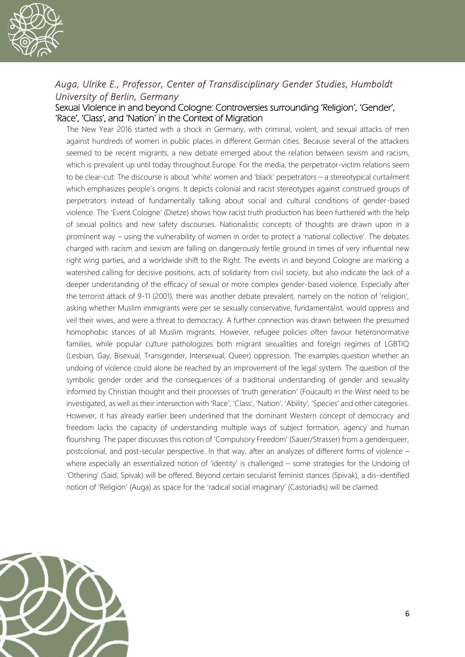

#### *Auga, Ulrike E., Professor, Center of Transdisciplinary Gender Studies, Humboldt University of Berlin, Germany*

#### Sexual Violence in and beyond Cologne: Controversies surrounding 'Religion', 'Gender', 'Race', 'Class', and 'Nation' in the Context of Migration

The New Year 2016 started with a shock in Germany, with criminal, violent, and sexual attacks of men against hundreds of women in public places in different German cities. Because several of the attackers seemed to be recent migrants, a new debate emerged about the relation between sexism and racism, which is prevalent up until today throughout Europe. For the media, the perpetrator-victim relations seem to be clear-cut: The discourse is about 'white' women and 'black' perpetrators – a stereotypical curtailment which emphasizes people's origins. It depicts colonial and racist stereotypes against construed groups of perpetrators instead of fundamentally talking about social and cultural conditions of gender-based violence. The 'Event Cologne' (Dietze) shows how racist truth production has been furthered with the help of sexual politics and new safety discourses. Nationalistic concepts of thoughts are drawn upon in a prominent way – using the vulnerability of women in order to protect a 'national collective'. The debates charged with racism and sexism are falling on dangerously fertile ground in times of very influential new right wing parties, and a worldwide shift to the Right. The events in and beyond Cologne are marking a watershed calling for decisive positions, acts of solidarity from civil society, but also indicate the lack of a deeper understanding of the efficacy of sexual or more complex gender-based violence. Especially after the terrorist attack of 9-11 (2001), there was another debate prevalent, namely on the notion of 'religion', asking whether Muslim immigrants were per se sexually conservative, fundamentalist, would oppress and veil their wives, and were a threat to democracy. A further connection was drawn between the presumed homophobic stances of all Muslim migrants. However, refugee policies often favour heteronormative families, while popular culture pathologizes both migrant sexualities and foreign regimes of LGBTIQ (Lesbian, Gay, Bisexual, Transgender, Intersexual, Queer) oppression. The examples question whether an undoing of violence could alone be reached by an improvement of the legal system. The question of the symbolic gender order and the consequences of a traditional understanding of gender and sexuality informed by Christian thought and their processes of 'truth generation' (Foucault) in the West need to be investigated, as well as their intersection with 'Race', 'Class', 'Nation', 'Ability', 'Species' and other categories. However, it has already earlier been underlined that the dominant Western concept of democracy and freedom lacks the capacity of understanding multiple ways of subject formation, agency and human flourishing. The paper discusses this notion of 'Compulsory Freedom' (Sauer/Strasser) from a genderqueer, postcolonial, and post-secular perspective. In that way, after an analyzes of different forms of violence – where especially an essentialized notion of 'identity' is challenged – some strategies for the Undoing of 'Othering' (Said, Spivak) will be offered. Beyond certain secularist feminist stances (Spivak), a dis-identified notion of 'Religion' (Auga) as space for the 'radical social imaginary' (Castoriadis) will be claimed.

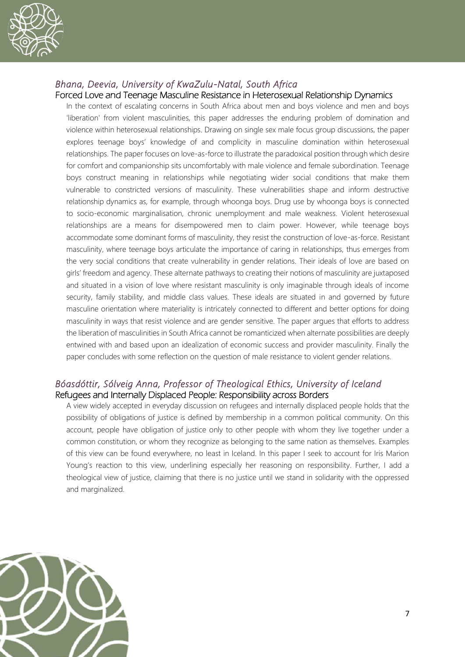

#### *Bhana, Deevia, University of KwaZulu-Natal, South Africa*

Forced Love and Teenage Masculine Resistance in Heterosexual Relationship Dynamics

In the context of escalating concerns in South Africa about men and boys violence and men and boys 'liberation' from violent masculinities, this paper addresses the enduring problem of domination and violence within heterosexual relationships. Drawing on single sex male focus group discussions, the paper explores teenage boys' knowledge of and complicity in masculine domination within heterosexual relationships. The paper focuses on love-as-force to illustrate the paradoxical position through which desire for comfort and companionship sits uncomfortably with male violence and female subordination. Teenage boys construct meaning in relationships while negotiating wider social conditions that make them vulnerable to constricted versions of masculinity. These vulnerabilities shape and inform destructive relationship dynamics as, for example, through whoonga boys. Drug use by whoonga boys is connected to socio-economic marginalisation, chronic unemployment and male weakness. Violent heterosexual relationships are a means for disempowered men to claim power. However, while teenage boys accommodate some dominant forms of masculinity, they resist the construction of love-as-force. Resistant masculinity, where teenage boys articulate the importance of caring in relationships, thus emerges from the very social conditions that create vulnerability in gender relations. Their ideals of love are based on girls' freedom and agency. These alternate pathways to creating their notions of masculinity are juxtaposed and situated in a vision of love where resistant masculinity is only imaginable through ideals of income security, family stability, and middle class values. These ideals are situated in and governed by future masculine orientation where materiality is intricately connected to different and better options for doing masculinity in ways that resist violence and are gender sensitive. The paper argues that efforts to address the liberation of masculinities in South Africa cannot be romanticized when alternate possibilities are deeply entwined with and based upon an idealization of economic success and provider masculinity. Finally the paper concludes with some reflection on the question of male resistance to violent gender relations.

#### *Bóasdóttir, Sólveig Anna, Professor of Theological Ethics, University of Iceland*  Refugees and Internally Displaced People: Responsibility across Borders

A view widely accepted in everyday discussion on refugees and internally displaced people holds that the possibility of obligations of justice is defined by membership in a common political community. On this account, people have obligation of justice only to other people with whom they live together under a common constitution, or whom they recognize as belonging to the same nation as themselves. Examples of this view can be found everywhere, no least in Iceland. In this paper I seek to account for Iris Marion Young's reaction to this view, underlining especially her reasoning on responsibility. Further, I add a theological view of justice, claiming that there is no justice until we stand in solidarity with the oppressed and marginalized.

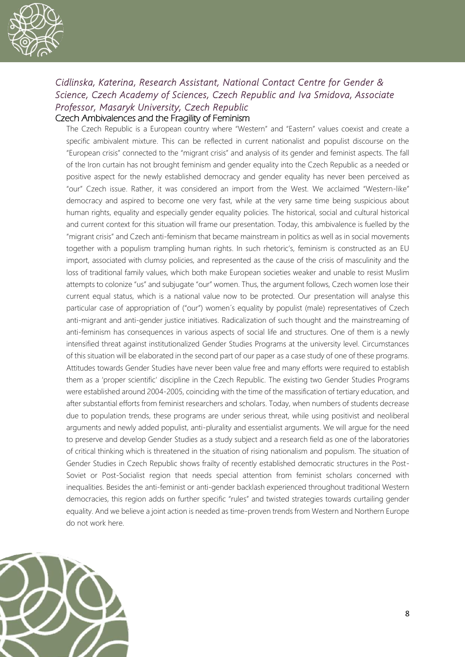

#### *Cidlinska, Katerina, Research Assistant, National Contact Centre for Gender & Science, Czech Academy of Sciences, Czech Republic and Iva Smidova, Associate Professor, Masaryk University, Czech Republic*  Czech Ambivalences and the Fragility of Feminism

The Czech Republic is a European country where "Western" and "Eastern" values coexist and create a specific ambivalent mixture. This can be reflected in current nationalist and populist discourse on the "European crisis" connected to the "migrant crisis" and analysis of its gender and feminist aspects. The fall of the Iron curtain has not brought feminism and gender equality into the Czech Republic as a needed or positive aspect for the newly established democracy and gender equality has never been perceived as "our" Czech issue. Rather, it was considered an import from the West. We acclaimed "Western-like" democracy and aspired to become one very fast, while at the very same time being suspicious about human rights, equality and especially gender equality policies. The historical, social and cultural historical and current context for this situation will frame our presentation. Today, this ambivalence is fuelled by the "migrant crisis" and Czech anti-feminism that became mainstream in politics as well as in social movements together with a populism trampling human rights. In such rhetoric's, feminism is constructed as an EU import, associated with clumsy policies, and represented as the cause of the crisis of masculinity and the loss of traditional family values, which both make European societies weaker and unable to resist Muslim attempts to colonize "us" and subjugate "our" women. Thus, the argument follows, Czech women lose their current equal status, which is a national value now to be protected. Our presentation will analyse this particular case of appropriation of ("our") women´s equality by populist (male) representatives of Czech anti-migrant and anti-gender justice initiatives. Radicalization of such thought and the mainstreaming of anti-feminism has consequences in various aspects of social life and structures. One of them is a newly intensified threat against institutionalized Gender Studies Programs at the university level. Circumstances of this situation will be elaborated in the second part of our paper as a case study of one of these programs. Attitudes towards Gender Studies have never been value free and many efforts were required to establish them as a 'proper scientific' discipline in the Czech Republic. The existing two Gender Studies Programs were established around 2004-2005, coinciding with the time of the massification of tertiary education, and after substantial efforts from feminist researchers and scholars. Today, when numbers of students decrease due to population trends, these programs are under serious threat, while using positivist and neoliberal arguments and newly added populist, anti-plurality and essentialist arguments. We will argue for the need to preserve and develop Gender Studies as a study subject and a research field as one of the laboratories of critical thinking which is threatened in the situation of rising nationalism and populism. The situation of Gender Studies in Czech Republic shows frailty of recently established democratic structures in the Post-Soviet or Post-Socialist region that needs special attention from feminist scholars concerned with inequalities. Besides the anti-feminist or anti-gender backlash experienced throughout traditional Western democracies, this region adds on further specific "rules" and twisted strategies towards curtailing gender equality. And we believe a joint action is needed as time-proven trends from Western and Northern Europe do not work here.

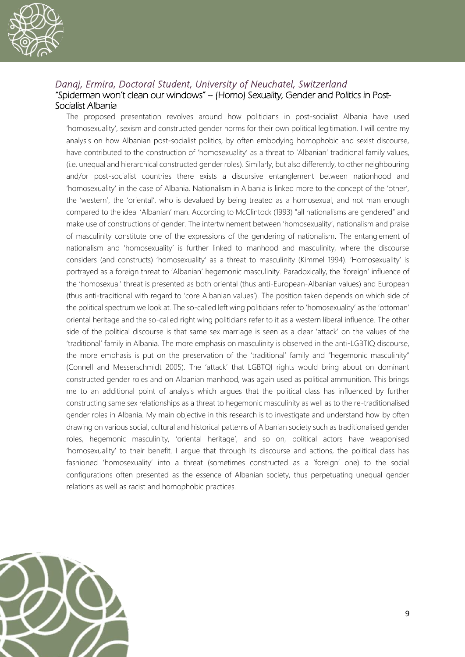

#### *Danaj, Ermira, Doctoral Student, University of Neuchatel, Switzerland* "Spiderman won't clean our windows" – (Homo) Sexuality, Gender and Politics in Post-Socialist Albania

The proposed presentation revolves around how politicians in post-socialist Albania have used 'homosexuality', sexism and constructed gender norms for their own political legitimation. I will centre my analysis on how Albanian post-socialist politics, by often embodying homophobic and sexist discourse, have contributed to the construction of 'homosexuality' as a threat to 'Albanian' traditional family values, (i.e. unequal and hierarchical constructed gender roles). Similarly, but also differently, to other neighbouring and/or post-socialist countries there exists a discursive entanglement between nationhood and 'homosexuality' in the case of Albania. Nationalism in Albania is linked more to the concept of the 'other', the 'western', the 'oriental', who is devalued by being treated as a homosexual, and not man enough compared to the ideal 'Albanian' man. According to McClintock (1993) "all nationalisms are gendered" and make use of constructions of gender. The intertwinement between 'homosexuality', nationalism and praise of masculinity constitute one of the expressions of the gendering of nationalism. The entanglement of nationalism and 'homosexuality' is further linked to manhood and masculinity, where the discourse considers (and constructs) 'homosexuality' as a threat to masculinity (Kimmel 1994). 'Homosexuality' is portrayed as a foreign threat to 'Albanian' hegemonic masculinity. Paradoxically, the 'foreign' influence of the 'homosexual' threat is presented as both oriental (thus anti-European-Albanian values) and European (thus anti-traditional with regard to 'core Albanian values'). The position taken depends on which side of the political spectrum we look at. The so-called left wing politicians refer to 'homosexuality' as the 'ottoman' oriental heritage and the so-called right wing politicians refer to it as a western liberal influence. The other side of the political discourse is that same sex marriage is seen as a clear 'attack' on the values of the 'traditional' family in Albania. The more emphasis on masculinity is observed in the anti-LGBTIQ discourse, the more emphasis is put on the preservation of the 'traditional' family and "hegemonic masculinity" (Connell and Messerschmidt 2005). The 'attack' that LGBTQI rights would bring about on dominant constructed gender roles and on Albanian manhood, was again used as political ammunition. This brings me to an additional point of analysis which argues that the political class has influenced by further constructing same sex relationships as a threat to hegemonic masculinity as well as to the re-traditionalised gender roles in Albania. My main objective in this research is to investigate and understand how by often drawing on various social, cultural and historical patterns of Albanian society such as traditionalised gender roles, hegemonic masculinity, 'oriental heritage', and so on, political actors have weaponised 'homosexuality' to their benefit. I argue that through its discourse and actions, the political class has fashioned 'homosexuality' into a threat (sometimes constructed as a 'foreign' one) to the social configurations often presented as the essence of Albanian society, thus perpetuating unequal gender relations as well as racist and homophobic practices.

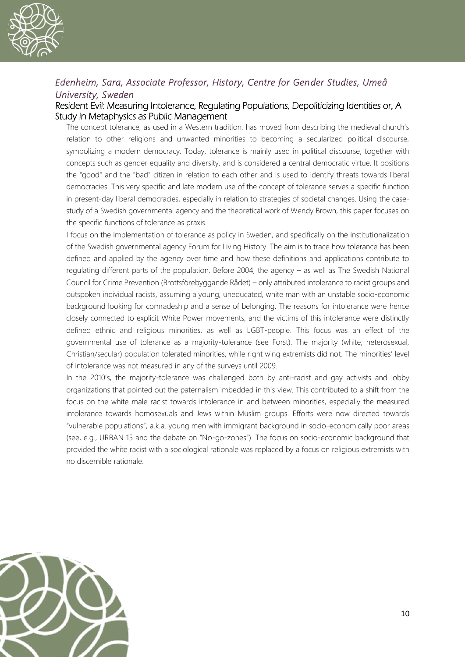

#### *Edenheim, Sara, Associate Professor, History, Centre for Gender Studies, Umeå University, Sweden*

#### Resident Evil: Measuring Intolerance, Regulating Populations, Depoliticizing Identities or, A Study in Metaphysics as Public Management

The concept tolerance, as used in a Western tradition, has moved from describing the medieval church's relation to other religions and unwanted minorities to becoming a secularized political discourse, symbolizing a modern democracy. Today, tolerance is mainly used in political discourse, together with concepts such as gender equality and diversity, and is considered a central democratic virtue. It positions the "good" and the "bad" citizen in relation to each other and is used to identify threats towards liberal democracies. This very specific and late modern use of the concept of tolerance serves a specific function in present-day liberal democracies, especially in relation to strategies of societal changes. Using the casestudy of a Swedish governmental agency and the theoretical work of Wendy Brown, this paper focuses on the specific functions of tolerance as praxis.

I focus on the implementation of tolerance as policy in Sweden, and specifically on the institutionalization of the Swedish governmental agency Forum for Living History. The aim is to trace how tolerance has been defined and applied by the agency over time and how these definitions and applications contribute to regulating different parts of the population. Before 2004, the agency – as well as The Swedish National Council for Crime Prevention (Brottsförebyggande Rådet) – only attributed intolerance to racist groups and outspoken individual racists, assuming a young, uneducated, white man with an unstable socio-economic background looking for comradeship and a sense of belonging. The reasons for intolerance were hence closely connected to explicit White Power movements, and the victims of this intolerance were distinctly defined ethnic and religious minorities, as well as LGBT-people. This focus was an effect of the governmental use of tolerance as a majority-tolerance (see Forst). The majority (white, heterosexual, Christian/secular) population tolerated minorities, while right wing extremists did not. The minorities' level of intolerance was not measured in any of the surveys until 2009.

In the 2010's, the majority-tolerance was challenged both by anti-racist and gay activists and lobby organizations that pointed out the paternalism imbedded in this view. This contributed to a shift from the focus on the white male racist towards intolerance in and between minorities, especially the measured intolerance towards homosexuals and Jews within Muslim groups. Efforts were now directed towards "vulnerable populations", a.k.a. young men with immigrant background in socio-economically poor areas (see, e.g., URBAN 15 and the debate on "No-go-zones"). The focus on socio-economic background that provided the white racist with a sociological rationale was replaced by a focus on religious extremists with no discernible rationale.

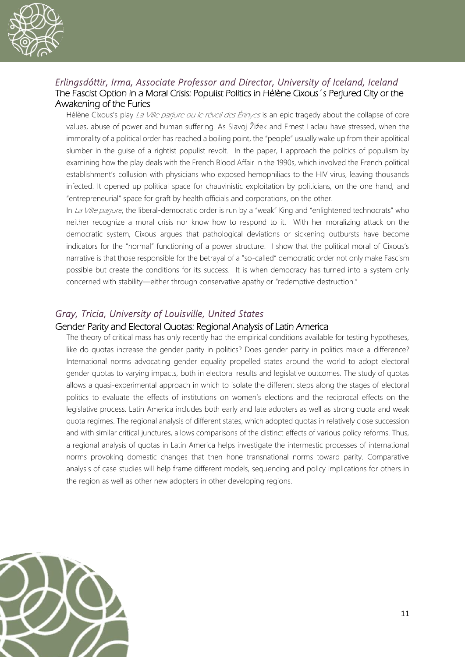

#### *Erlingsdóttir, Irma, Associate Professor and Director, University of Iceland, Iceland*  The Fascist Option in a Moral Crisis: Populist Politics in Hélène Cixous´s Perjured City or the Awakening of the Furies

Hélène Cixous's play La Ville parjure ou le réveil des Érinyes is an epic tragedy about the collapse of core values, abuse of power and human suffering. As Slavoj Žižek and Ernest Laclau have stressed, when the immorality of a political order has reached a boiling point, the "people" usually wake up from their apolitical slumber in the guise of a rightist populist revolt. In the paper, I approach the politics of populism by examining how the play deals with the French Blood Affair in the 1990s, which involved the French political establishment's collusion with physicians who exposed hemophiliacs to the HIV virus, leaving thousands infected. It opened up political space for chauvinistic exploitation by politicians, on the one hand, and "entrepreneurial" space for graft by health officials and corporations, on the other.

In La Ville parjure, the liberal-democratic order is run by a "weak" King and "enlightened technocrats" who neither recognize a moral crisis nor know how to respond to it. With her moralizing attack on the democratic system, Cixous argues that pathological deviations or sickening outbursts have become indicators for the "normal" functioning of a power structure. I show that the political moral of Cixous's narrative is that those responsible for the betrayal of a "so-called" democratic order not only make Fascism possible but create the conditions for its success. It is when democracy has turned into a system only concerned with stability—either through conservative apathy or "redemptive destruction."

#### *Gray, Tricia, University of Louisville, United States*

#### Gender Parity and Electoral Quotas: Regional Analysis of Latin America

The theory of critical mass has only recently had the empirical conditions available for testing hypotheses, like do quotas increase the gender parity in politics? Does gender parity in politics make a difference? International norms advocating gender equality propelled states around the world to adopt electoral gender quotas to varying impacts, both in electoral results and legislative outcomes. The study of quotas allows a quasi-experimental approach in which to isolate the different steps along the stages of electoral politics to evaluate the effects of institutions on women's elections and the reciprocal effects on the legislative process. Latin America includes both early and late adopters as well as strong quota and weak quota regimes. The regional analysis of different states, which adopted quotas in relatively close succession and with similar critical junctures, allows comparisons of the distinct effects of various policy reforms. Thus, a regional analysis of quotas in Latin America helps investigate the intermestic processes of international norms provoking domestic changes that then hone transnational norms toward parity. Comparative analysis of case studies will help frame different models, sequencing and policy implications for others in the region as well as other new adopters in other developing regions.

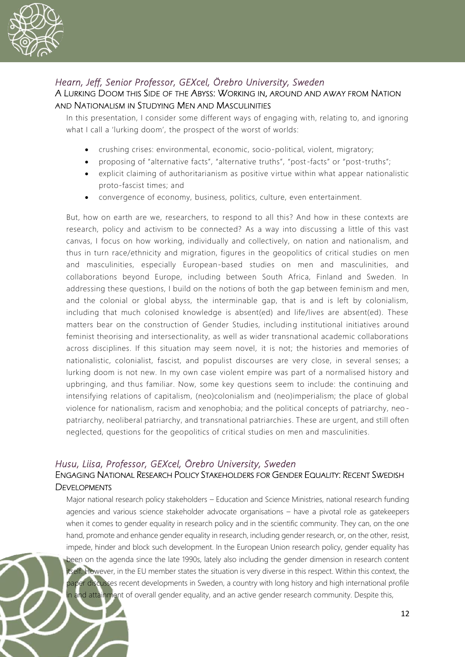

#### *Hearn, Jeff, Senior Professor, GEXcel, Örebro University, Sweden*

#### A LURKING DOOM THIS SIDE OF THE ABYSS: WORKING IN, AROUND AND AWAY FROM NATION AND NATIONALISM IN STUDYING MEN AND MASCULINITIES

In this presentation, I consider some different ways of engaging with, relating to, and ignoring what I call a 'lurking doom', the prospect of the worst of worlds:

- crushing crises: environmental, economic, socio-political, violent, migratory;
- proposing of "alternative facts", "alternative truths", "post-facts" or "post-truths";
- explicit claiming of authoritarianism as positive virtue within what appear nationalistic proto-fascist times; and
- convergence of economy, business, politics, culture, even entertainment.

But, how on earth are we, researchers, to respond to all this? And how in these contexts are research, policy and activism to be connected? As a way into discussing a little of this vast canvas, I focus on how working, individually and collectively, on nation and nationalism, and thus in turn race/ethnicity and migration, figures in the geopolitics of critical studies on men and masculinities, especially European-based studies on men and masculinities, and collaborations beyond Europe, including between South Africa, Finland and Sweden. In addressing these questions, I build on the notions of both the gap between feminism and men, and the colonial or global abyss, the interminable gap, that is and is left by colonialism, including that much colonised knowledge is absent(ed) and life/lives are absent(ed). These matters bear on the construction of Gender Studies, including institutional initiatives around feminist theorising and intersectionality, as well as wider transnational academic collaborations across disciplines. If this situation may seem novel, it is not; the histories and memories of nationalistic, colonialist, fascist, and populist discourses are very close, in several senses; a lurking doom is not new. In my own case violent empire was part of a normalised history and upbringing, and thus familiar. Now, some key questions seem to include: the continuing and intensifying relations of capitalism, (neo)colonialism and (neo)imperialism; the place of global violence for nationalism, racism and xenophobia; and the political concepts of patriarchy, neo patriarchy, neoliberal patriarchy, and transnational patriarchies. These are urgent, and still often neglected, questions for the geopolitics of critical studies on men and masculinities.

#### *Husu, Liisa, Professor, GEXcel, Örebro University, Sweden*  ENGAGING NATIONAL RESEARCH POLICY STAKEHOLDERS FOR GENDER EQUALITY: RECENT SWEDISH **DEVELOPMENTS**

Major national research policy stakeholders – Education and Science Ministries, national research funding agencies and various science stakeholder advocate organisations – have a pivotal role as gatekeepers when it comes to gender equality in research policy and in the scientific community. They can, on the one hand, promote and enhance gender equality in research, including gender research, or, on the other, resist, impede, hinder and block such development. In the European Union research policy, gender equality has been on the agenda since the late 1990s, lately also including the gender dimension in research content itself. However, in the EU member states the situation is very diverse in this respect. Within this context, the paper discusses recent developments in Sweden, a country with long history and high international profile in and attainment of overall gender equality, and an active gender research community. Despite this,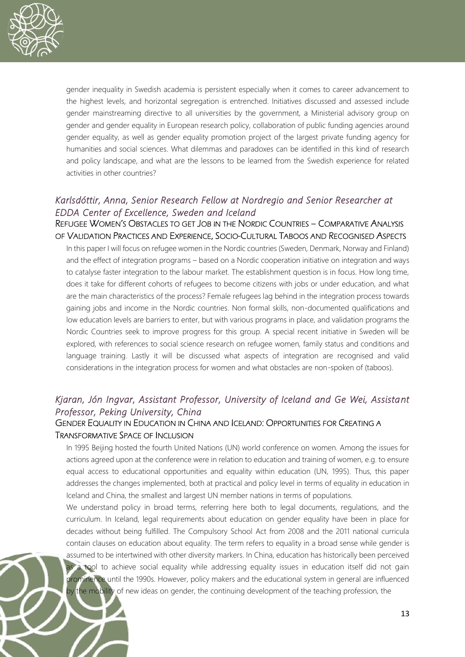

gender inequality in Swedish academia is persistent especially when it comes to career advancement to the highest levels, and horizontal segregation is entrenched. Initiatives discussed and assessed include gender mainstreaming directive to all universities by the government, a Ministerial advisory group on gender and gender equality in European research policy, collaboration of public funding agencies around gender equality, as well as gender equality promotion project of the largest private funding agency for humanities and social sciences. What dilemmas and paradoxes can be identified in this kind of research and policy landscape, and what are the lessons to be learned from the Swedish experience for related activities in other countries?

#### *Karlsdóttir, Anna, Senior Research Fellow at Nordregio and Senior Researcher at EDDA Center of Excellence, Sweden and Iceland*

#### REFUGEE WOMEN'S OBSTACLES TO GET JOB IN THE NORDIC COUNTRIES – COMPARATIVE ANALYSIS OF VALIDATION PRACTICES AND EXPERIENCE, SOCIO-CULTURAL TABOOS AND RECOGNISED ASPECTS

In this paper I will focus on refugee women in the Nordic countries (Sweden, Denmark, Norway and Finland) and the effect of integration programs – based on a Nordic cooperation initiative on integration and ways to catalyse faster integration to the labour market. The establishment question is in focus. How long time, does it take for different cohorts of refugees to become citizens with jobs or under education, and what are the main characteristics of the process? Female refugees lag behind in the integration process towards gaining jobs and income in the Nordic countries. Non formal skills, non-documented qualifications and low education levels are barriers to enter, but with various programs in place, and validation programs the Nordic Countries seek to improve progress for this group. A special recent initiative in Sweden will be explored, with references to social science research on refugee women, family status and conditions and language training. Lastly it will be discussed what aspects of integration are recognised and valid considerations in the integration process for women and what obstacles are non-spoken of (taboos).

#### *Kjaran, Jón Ingvar, Assistant Professor, University of Iceland and Ge Wei, Assistant Professor, Peking University, China*

#### GENDER EQUALITY IN EDUCATION IN CHINA AND ICELAND: OPPORTUNITIES FOR CREATING A TRANSFORMATIVE SPACE OF INCLUSION

In 1995 Beijing hosted the fourth United Nations (UN) world conference on women. Among the issues for actions agreed upon at the conference were in relation to education and training of women, e.g. to ensure equal access to educational opportunities and equality within education (UN, 1995). Thus, this paper addresses the changes implemented, both at practical and policy level in terms of equality in education in Iceland and China, the smallest and largest UN member nations in terms of populations.

We understand policy in broad terms, referring here both to legal documents, regulations, and the curriculum. In Iceland, legal requirements about education on gender equality have been in place for decades without being fulfilled. The Compulsory School Act from 2008 and the 2011 national curricula contain clauses on education about equality. The term refers to equality in a broad sense while gender is assumed to be intertwined with other diversity markers. In China, education has historically been perceived as a tool to achieve social equality while addressing equality issues in education itself did not gain prominence until the 1990s. However, policy makers and the educational system in general are influenced by the mobility of new ideas on gender, the continuing development of the teaching profession, the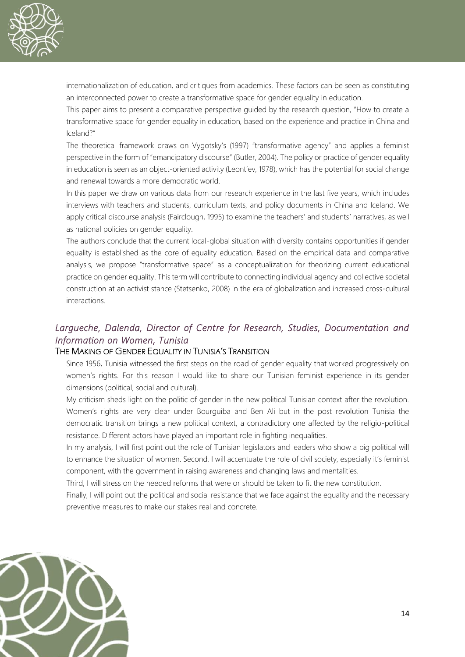

internationalization of education, and critiques from academics. These factors can be seen as constituting an interconnected power to create a transformative space for gender equality in education.

This paper aims to present a comparative perspective guided by the research question, "How to create a transformative space for gender equality in education, based on the experience and practice in China and Iceland?"

The theoretical framework draws on Vygotsky's (1997) "transformative agency" and applies a feminist perspective in the form of "emancipatory discourse" (Butler, 2004). The policy or practice of gender equality in education is seen as an object-oriented activity (Leont'ev, 1978), which has the potential for social change and renewal towards a more democratic world.

In this paper we draw on various data from our research experience in the last five years, which includes interviews with teachers and students, curriculum texts, and policy documents in China and Iceland. We apply critical discourse analysis (Fairclough, 1995) to examine the teachers' and students' narratives, as well as national policies on gender equality.

The authors conclude that the current local-global situation with diversity contains opportunities if gender equality is established as the core of equality education. Based on the empirical data and comparative analysis, we propose "transformative space" as a conceptualization for theorizing current educational practice on gender equality. This term will contribute to connecting individual agency and collective societal construction at an activist stance (Stetsenko, 2008) in the era of globalization and increased cross-cultural interactions.

#### *Largueche, Dalenda, Director of Centre for Research, Studies, Documentation and Information on Women, Tunisia*

#### THE MAKING OF GENDER EQUALITY IN TUNISIA'S TRANSITION

Since 1956, Tunisia witnessed the first steps on the road of gender equality that worked progressively on women's rights. For this reason I would like to share our Tunisian feminist experience in its gender dimensions (political, social and cultural).

My criticism sheds light on the politic of gender in the new political Tunisian context after the revolution. Women's rights are very clear under Bourguiba and Ben Ali but in the post revolution Tunisia the democratic transition brings a new political context, a contradictory one affected by the religio-political resistance. Different actors have played an important role in fighting inequalities.

In my analysis, I will first point out the role of Tunisian legislators and leaders who show a big political will to enhance the situation of women. Second, I will accentuate the role of civil society, especially it's feminist component, with the government in raising awareness and changing laws and mentalities.

Third, I will stress on the needed reforms that were or should be taken to fit the new constitution.

Finally, I will point out the political and social resistance that we face against the equality and the necessary preventive measures to make our stakes real and concrete.

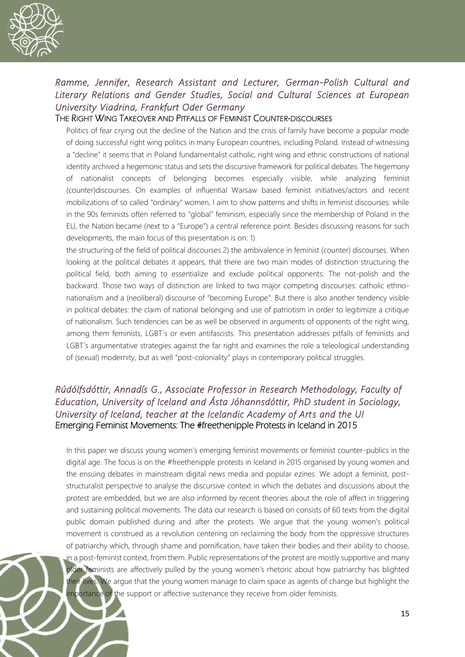

#### *Ramme, Jennifer, Research Assistant and Lecturer, German-Polish Cultural and Literary Relations and Gender Studies, Social and Cultural Sciences at European University Viadrina, Frankfurt Oder Germany*

#### THE RIGHT WING TAKEOVER AND PITFALLS OF FEMINIST COUNTER-DISCOURSES

Politics of fear crying out the decline of the Nation and the crisis of family have become a popular mode of doing successful right wing politics in many European countries, including Poland. Instead of witnessing a "decline" it seems that in Poland fundamentalist catholic, right wing and ethnic constructions of national identity archived a hegemonic status and sets the discursive framework for political debates. The hegemony of nationalist concepts of belonging becomes especially visible, while analyzing feminist (counter)discourses. On examples of influential Warsaw based feminist initiatives/actors and recent mobilizations of so called "ordinary" women, I aim to show patterns and shifts in feminist discourses: while in the 90s feminists often referred to "global" feminism, especially since the membership of Poland in the EU, the Nation became (next to a "Europe") a central reference point. Besides discussing reasons for such developments, the main focus of this presentation is on: 1)

the structuring of the field of political discourses 2) the ambivalence in feminist (counter) discourses. When looking at the political debates it appears, that there are two main modes of distinction structuring the political field, both aiming to essentialize and exclude political opponents: The not-polish and the backward. Those two ways of distinction are linked to two major competing discourses: catholic ethnonationalism and a (neoliberal) discourse of "becoming Europe". But there is also another tendency visible in political debates: the claim of national belonging and use of patriotism in order to legitimize a critique of nationalism. Such tendencies can be as well be observed in arguments of opponents of the right wing, among them feminists, LGBT´s or even antifascists. This presentation addresses pitfalls of feminists and LGBT´s argumentative strategies against the far right and examines the role a teleological understanding of (sexual) modernity, but as well "post-coloniality" plays in contemporary political struggles.

#### *Rúdólfsdóttir, Annadís G., Associate Professor in Research Methodology, Faculty of Education, University of Iceland and Ásta Jóhannsdóttir, PhD student in Sociology, University of Iceland, teacher at the Icelandic Academy of Arts and the UI*  Emerging Feminist Movements: The #freethenipple Protests in Iceland in 2015

In this paper we discuss young women's emerging feminist movements or feminist counter-publics in the digital age. The focus is on the #freethenipple protests in Iceland in 2015 organised by young women and the ensuing debates in mainstream digital news media and popular ezines. We adopt a feminist, poststructuralist perspective to analyse the discursive context in which the debates and discussions about the protest are embedded, but we are also informed by recent theories about the role of affect in triggering and sustaining political movements. The data our research is based on consists of 60 texts from the digital public domain published during and after the protests. We argue that the young women's political movement is construed as a revolution centering on reclaiming the body from the oppressive structures of patriarchy which, through shame and pornification, have taken their bodies and their ability to choose, in a post-feminist context, from them. Public representations of the protest are mostly supportive and many older feminists are affectively pulled by the young women's rhetoric about how patriarchy has blighted their lives. We argue that the young women manage to claim space as agents of change but highlight the importance of the support or affective sustenance they receive from older feminists.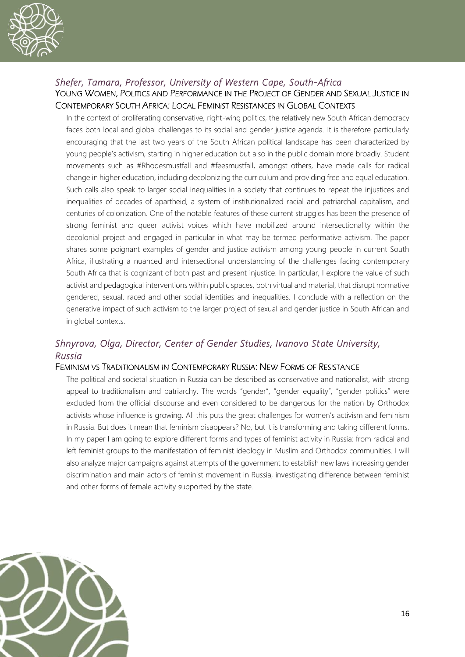

#### *Shefer, Tamara, Professor, University of Western Cape, South-Africa*  YOUNG WOMEN, POLITICS AND PERFORMANCE IN THE PROJECT OF GENDER AND SEXUAL JUSTICE IN CONTEMPORARY SOUTH AFRICA: LOCAL FEMINIST RESISTANCES IN GLOBAL CONTEXTS

In the context of proliferating conservative, right-wing politics, the relatively new South African democracy faces both local and global challenges to its social and gender justice agenda. It is therefore particularly encouraging that the last two years of the South African political landscape has been characterized by young people's activism, starting in higher education but also in the public domain more broadly. Student movements such as #Rhodesmustfall and #feesmustfall, amongst others, have made calls for radical change in higher education, including decolonizing the curriculum and providing free and equal education. Such calls also speak to larger social inequalities in a society that continues to repeat the injustices and inequalities of decades of apartheid, a system of institutionalized racial and patriarchal capitalism, and centuries of colonization. One of the notable features of these current struggles has been the presence of strong feminist and queer activist voices which have mobilized around intersectionality within the decolonial project and engaged in particular in what may be termed performative activism. The paper shares some poignant examples of gender and justice activism among young people in current South Africa, illustrating a nuanced and intersectional understanding of the challenges facing contemporary South Africa that is cognizant of both past and present injustice. In particular, I explore the value of such activist and pedagogical interventions within public spaces, both virtual and material, that disrupt normative gendered, sexual, raced and other social identities and inequalities. I conclude with a reflection on the generative impact of such activism to the larger project of sexual and gender justice in South African and in global contexts.

#### *Shnyrova, Olga, Director, Center of Gender Studies, Ivanovo State University, Russia*

#### FEMINISM VS TRADITIONALISM IN CONTEMPORARY RUSSIA: NEW FORMS OF RESISTANCE

The political and societal situation in Russia can be described as conservative and nationalist, with strong appeal to traditionalism and patriarchy. The words "gender", "gender equality", "gender politics" were excluded from the official discourse and even considered to be dangerous for the nation by Orthodox activists whose influence is growing. All this puts the great challenges for women's activism and feminism in Russia. But does it mean that feminism disappears? No, but it is transforming and taking different forms. In my paper I am going to explore different forms and types of feminist activity in Russia: from radical and left feminist groups to the manifestation of feminist ideology in Muslim and Orthodox communities. I will also analyze major campaigns against attempts of the government to establish new laws increasing gender discrimination and main actors of feminist movement in Russia, investigating difference between feminist and other forms of female activity supported by the state.

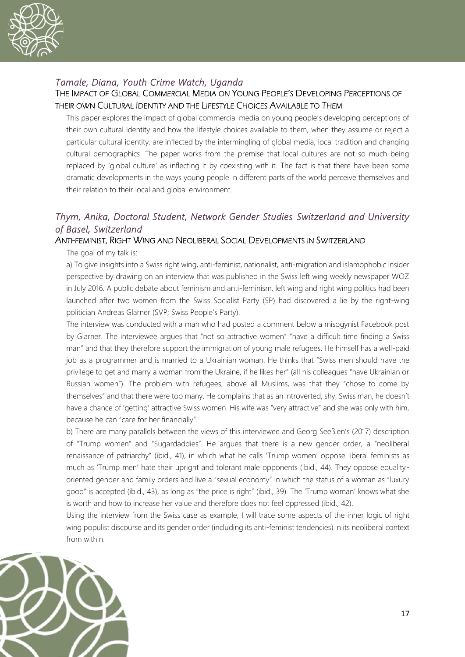

#### *Tamale, Diana, Youth Crime Watch, Uganda*

#### THE IMPACT OF GLOBAL COMMERCIAL MEDIA ON YOUNG PEOPLE'S DEVELOPING PERCEPTIONS OF THEIR OWN CULTURAL IDENTITY AND THE LIFESTYLE CHOICES AVAILABLE TO THEM

This paper explores the impact of global commercial media on young people's developing perceptions of their own cultural identity and how the lifestyle choices available to them, when they assume or reject a particular cultural identity, are inflected by the intermingling of global media, local tradition and changing cultural demographics. The paper works from the premise that local cultures are not so much being replaced by 'global culture' as inflecting it by coexisting with it. The fact is that there have been some dramatic developments in the ways young people in different parts of the world perceive themselves and their relation to their local and global environment.

#### *Thym, Anika, Doctoral Student, Network Gender Studies Switzerland and University of Basel, Switzerland*

#### ANTI-FEMINIST, RIGHT WING AND NEOLIBERAL SOCIAL DEVELOPMENTS IN SWITZERLAND

The goal of my talk is:

a) To give insights into a Swiss right wing, anti-feminist, nationalist, anti-migration and islamophobic insider perspective by drawing on an interview that was published in the Swiss left wing weekly newspaper WOZ in July 2016. A public debate about feminism and anti-feminism, left wing and right wing politics had been launched after two women from the Swiss Socialist Party (SP) had discovered a lie by the right-wing politician Andreas Glarner (SVP; Swiss People's Party).

The interview was conducted with a man who had posted a comment below a misogynist Facebook post by Glarner. The interviewee argues that "not so attractive women" "have a difficult time finding a Swiss man" and that they therefore support the immigration of young male refugees. He himself has a well-paid job as a programmer and is married to a Ukrainian woman. He thinks that "Swiss men should have the privilege to get and marry a woman from the Ukraine, if he likes her" (all his colleagues "have Ukrainian or Russian women"). The problem with refugees, above all Muslims, was that they "chose to come by themselves" and that there were too many. He complains that as an introverted, shy, Swiss man, he doesn't have a chance of 'getting' attractive Swiss women. His wife was "very attractive" and she was only with him, because he can "care for her financially".

b) There are many parallels between the views of this interviewee and Georg Seeßlen's (2017) description of "Trump women" and "Sugardaddies". He argues that there is a new gender order, a "neoliberal renaissance of patriarchy" (ibid., 41), in which what he calls 'Trump women' oppose liberal feminists as much as 'Trump men' hate their upright and tolerant male opponents (ibid., 44). They oppose equalityoriented gender and family orders and live a "sexual economy" in which the status of a woman as "luxury good" is accepted (ibid., 43), as long as "the price is right" (ibid., 39). The 'Trump woman' knows what she is worth and how to increase her value and therefore does not feel oppressed (ibid., 42).

Using the interview from the Swiss case as example, I will trace some aspects of the inner logic of right wing populist discourse and its gender order (including its anti-feminist tendencies) in its neoliberal context from within.